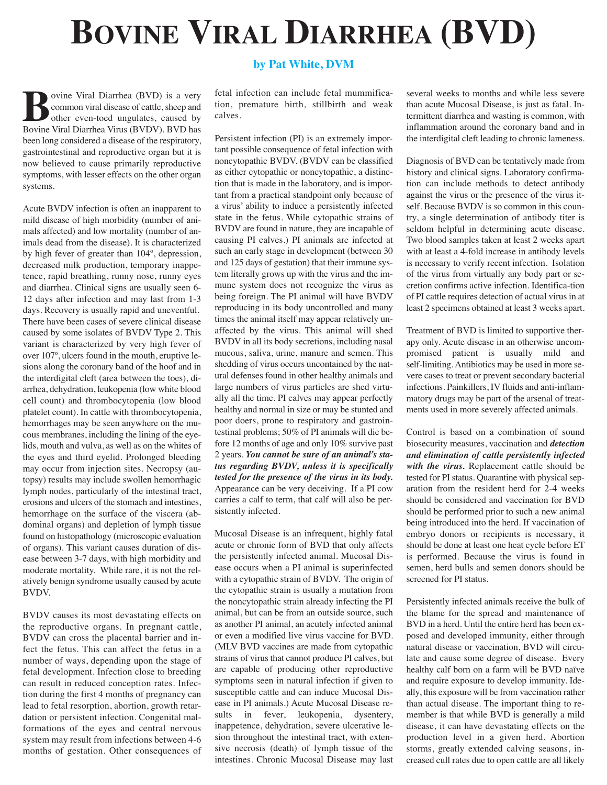## **BOVINE VIRAL DIARRHEA (BVD)**

**by Pat White, DVM**

**Boxish** Sovine Viral Diarrhea (BVD) is a very<br>
sommon viral disease of cattle, sheep and<br>
other even-toed ungulates, caused by<br>
Bovine Viral Diarrhea Virus (BVDV) BVD has common viral disease of cattle, sheep and other even-toed ungulates, caused by Bovine Viral Diarrhea Virus (BVDV). BVD has been long considered a disease of the respiratory, gastrointestinal and reproductive organ but it is now believed to cause primarily reproductive symptoms, with lesser effects on the other organ systems.

Acute BVDV infection is often an inapparent to mild disease of high morbidity (number of animals affected) and low mortality (number of animals dead from the disease). It is characterized by high fever of greater than 104º, depression, decreased milk production, temporary inappetence, rapid breathing, runny nose, runny eyes and diarrhea. Clinical signs are usually seen 6- 12 days after infection and may last from 1-3 days. Recovery is usually rapid and uneventful. There have been cases of severe clinical disease caused by some isolates of BVDV Type 2. This variant is characterized by very high fever of over 107º, ulcers found in the mouth, eruptive lesions along the coronary band of the hoof and in the interdigital cleft (area between the toes), diarrhea, dehydration, leukopenia (low white blood cell count) and thrombocytopenia (low blood platelet count). In cattle with thrombocytopenia, hemorrhages may be seen anywhere on the mucous membranes, including the lining of the eyelids, mouth and vulva, as well as on the whites of the eyes and third eyelid. Prolonged bleeding may occur from injection sites. Necropsy (autopsy) results may include swollen hemorrhagic lymph nodes, particularly of the intestinal tract, erosions and ulcers of the stomach and intestines, hemorrhage on the surface of the viscera (abdominal organs) and depletion of lymph tissue found on histopathology (microscopic evaluation of organs). This variant causes duration of disease between 3-7 days, with high morbidity and moderate mortality. While rare, it is not the relatively benign syndrome usually caused by acute BVDV.

BVDV causes its most devastating effects on the reproductive organs. In pregnant cattle, BVDV can cross the placental barrier and infect the fetus. This can affect the fetus in a number of ways, depending upon the stage of fetal development. Infection close to breeding can result in reduced conception rates. Infection during the first 4 months of pregnancy can lead to fetal resorption, abortion, growth retardation or persistent infection. Congenital malformations of the eyes and central nervous system may result from infections between 4-6 months of gestation. Other consequences of fetal infection can include fetal mummification, premature birth, stillbirth and weak calves.

Persistent infection (PI) is an extremely important possible consequence of fetal infection with noncytopathic BVDV. (BVDV can be classified as either cytopathic or noncytopathic, a distinction that is made in the laboratory, and is important from a practical standpoint only because of a virus' ability to induce a persistently infected state in the fetus. While cytopathic strains of BVDV are found in nature, they are incapable of causing PI calves.) PI animals are infected at such an early stage in development (between 30 and 125 days of gestation) that their immune system literally grows up with the virus and the immune system does not recognize the virus as being foreign. The PI animal will have BVDV reproducing in its body uncontrolled and many times the animal itself may appear relatively unaffected by the virus. This animal will shed BVDV in all its body secretions, including nasal mucous, saliva, urine, manure and semen. This shedding of virus occurs uncontained by the natural defenses found in other healthy animals and large numbers of virus particles are shed virtually all the time. PI calves may appear perfectly healthy and normal in size or may be stunted and poor doers, prone to respiratory and gastrointestinal problems; 50% of PI animals will die before 12 months of age and only 10% survive past 2 years. *You cannot be sure of an animal's status regarding BVDV, unless it is specifically tested for the presence of the virus in its body.* Appearance can be very deceiving. If a PI cow carries a calf to term, that calf will also be persistently infected.

Mucosal Disease is an infrequent, highly fatal acute or chronic form of BVD that only affects the persistently infected animal. Mucosal Disease occurs when a PI animal is superinfected with a cytopathic strain of BVDV. The origin of the cytopathic strain is usually a mutation from the noncytopathic strain already infecting the PI animal, but can be from an outside source, such as another PI animal, an acutely infected animal or even a modified live virus vaccine for BVD. (MLV BVD vaccines are made from cytopathic strains of virus that cannot produce PI calves, but are capable of producing other reproductive symptoms seen in natural infection if given to susceptible cattle and can induce Mucosal Disease in PI animals.) Acute Mucosal Disease results in fever, leukopenia, dysentery, inappetence, dehydration, severe ulcerative lesion throughout the intestinal tract, with extensive necrosis (death) of lymph tissue of the intestines. Chronic Mucosal Disease may last

several weeks to months and while less severe than acute Mucosal Disease, is just as fatal. Intermittent diarrhea and wasting is common, with inflammation around the coronary band and in the interdigital cleft leading to chronic lameness.

Diagnosis of BVD can be tentatively made from history and clinical signs. Laboratory confirmation can include methods to detect antibody against the virus or the presence of the virus itself. Because BVDV is so common in this country, a single determination of antibody titer is seldom helpful in determining acute disease. Two blood samples taken at least 2 weeks apart with at least a 4-fold increase in antibody levels is necessary to verify recent infection. Isolation of the virus from virtually any body part or secretion confirms active infection. Identifica-tion of PI cattle requires detection of actual virus in at least 2 specimens obtained at least 3 weeks apart.

Treatment of BVD is limited to supportive therapy only. Acute disease in an otherwise uncompromised patient is usually mild and self-limiting.Antibiotics may be used in more severe cases to treat or prevent secondary bacterial infections. Painkillers, IV fluids and anti-inflammatory drugs may be part of the arsenal of treatments used in more severely affected animals.

Control is based on a combination of sound biosecurity measures, vaccination and *detection and elimination of cattle persistently infected with the virus.* Replacement cattle should be tested for PI status. Quarantine with physical separation from the resident herd for 2-4 weeks should be considered and vaccination for BVD should be performed prior to such a new animal being introduced into the herd. If vaccination of embryo donors or recipients is necessary, it should be done at least one heat cycle before ET is performed. Because the virus is found in semen, herd bulls and semen donors should be screened for PI status.

Persistently infected animals receive the bulk of the blame for the spread and maintenance of BVD in a herd. Until the entire herd has been exposed and developed immunity, either through natural disease or vaccination, BVD will circulate and cause some degree of disease. Every healthy calf born on a farm will be BVD naïve and require exposure to develop immunity. Ideally, this exposure will be from vaccination rather than actual disease. The important thing to remember is that while BVD is generally a mild disease, it can have devastating effects on the production level in a given herd. Abortion storms, greatly extended calving seasons, increased cull rates due to open cattle are all likely